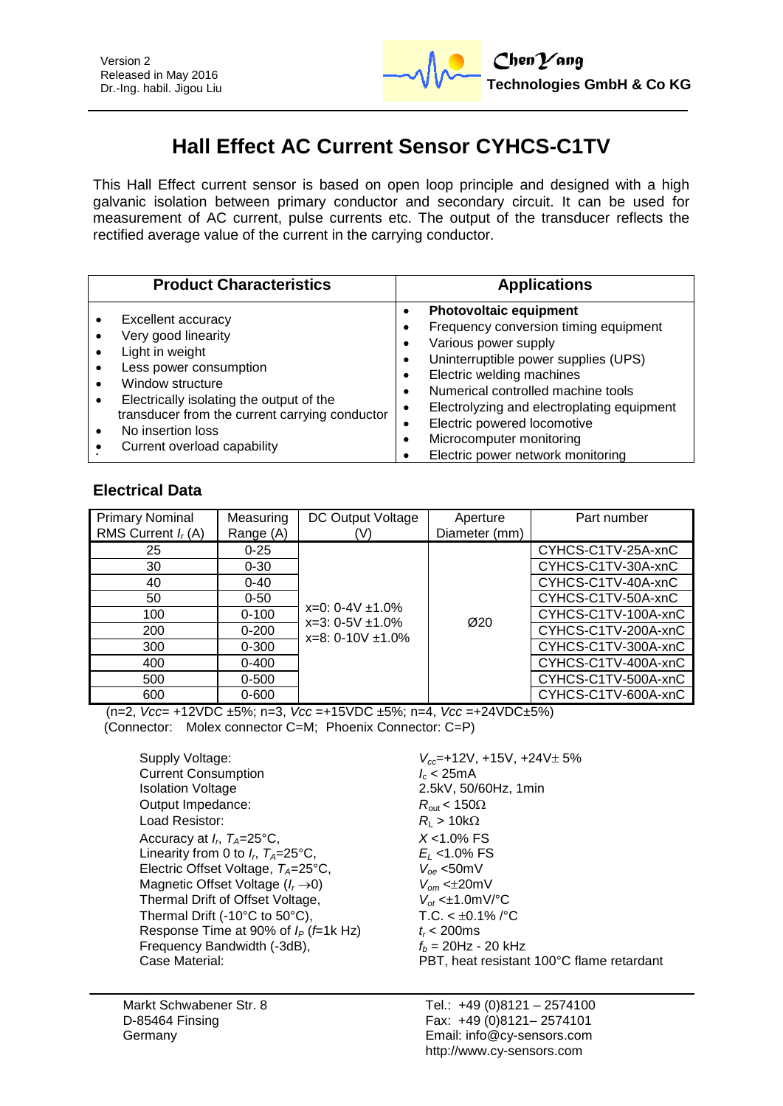

# **Hall Effect AC Current Sensor CYHCS-C1TV**

This Hall Effect current sensor is based on open loop principle and designed with a high galvanic isolation between primary conductor and secondary circuit. It can be used for measurement of AC current, pulse currents etc. The output of the transducer reflects the rectified average value of the current in the carrying conductor.

| <b>Product Characteristics</b>                                                                                                                                                                                                                               | <b>Applications</b>                                                                                                                                                                                                                                                                                                                                     |
|--------------------------------------------------------------------------------------------------------------------------------------------------------------------------------------------------------------------------------------------------------------|---------------------------------------------------------------------------------------------------------------------------------------------------------------------------------------------------------------------------------------------------------------------------------------------------------------------------------------------------------|
| Excellent accuracy<br>Very good linearity<br>Light in weight<br>Less power consumption<br>Window structure<br>Electrically isolating the output of the<br>transducer from the current carrying conductor<br>No insertion loss<br>Current overload capability | <b>Photovoltaic equipment</b><br>Frequency conversion timing equipment<br>Various power supply<br>Uninterruptible power supplies (UPS)<br>Electric welding machines<br>Numerical controlled machine tools<br>Electrolyzing and electroplating equipment<br>Electric powered locomotive<br>Microcomputer monitoring<br>Electric power network monitoring |

# **Electrical Data**

| <b>Primary Nominal</b> | Measuring | DC Output Voltage                                | Aperture         | Part number         |
|------------------------|-----------|--------------------------------------------------|------------------|---------------------|
| RMS Current $I_r(A)$   | Range (A) | (V)                                              | Diameter (mm)    |                     |
| 25                     | $0 - 25$  |                                                  |                  | CYHCS-C1TV-25A-xnC  |
| 30                     | $0 - 30$  |                                                  |                  | CYHCS-C1TV-30A-xnC  |
| 40                     | $0 - 40$  |                                                  |                  | CYHCS-C1TV-40A-xnC  |
| 50                     | $0 - 50$  | $x=0$ : 0-4V $\pm$ 1.0%<br>$x=3: 0-5V \pm 1.0\%$ |                  | CYHCS-C1TV-50A-xnC  |
| 100                    | $0 - 100$ |                                                  | $\varnothing$ 20 | CYHCS-C1TV-100A-xnC |
| 200                    | $0 - 200$ | $x=8: 0-10V \pm 1.0\%$                           |                  | CYHCS-C1TV-200A-xnC |
| 300                    | $0 - 300$ |                                                  |                  | CYHCS-C1TV-300A-xnC |
| 400                    | $0 - 400$ |                                                  |                  | CYHCS-C1TV-400A-xnC |
| 500                    | $0 - 500$ |                                                  |                  | CYHCS-C1TV-500A-xnC |
| 600                    | $0 - 600$ |                                                  |                  | CYHCS-C1TV-600A-xnC |

(n=2, *Vcc*= +12VDC ±5%; n=3, *Vcc* =+15VDC ±5%; n=4, *Vcc* =+24VDC±5%) (Connector: Molex connector C=M; Phoenix Connector: C=P)

Supply Voltage:  $V_{cc}$ =+12V, +15V, +24V $\pm$  5%<br>Current Consumption  $I_c$  < 25mA **Current Consumption** Isolation Voltage 2.5kV, 50/60Hz, 1min Output Impedance:  $R_{\text{out}} < 150\Omega$ Load Resistor:  $R_{L} > 10k\Omega$ Accuracy at  $I_r$ ,  $T_A = 25^\circ \text{C}$ , Linearity from 0 to  $I_r$ ,  $T_A = 25^{\circ}C$ , Electric Offset Voltage, *TA*=25°C, *Voe* <50mV Magnetic Offset Voltage (*I<sub>r</sub>* -> 0)  $V_{om}$  < $\pm$ 20mV<br>Thermal Drift of Offset Voltage.  $V_{of}$  < $\pm$ 1.0mV/°C **Thermal Drift of Offset Voltage,** Thermal Drift (-10°C to 50°C), T.C. <  $\pm$ 0.1% /°C<br>Response Time at 90% of  $I<sub>e</sub>$  ( $\pm$ 1k Hz)  $t<sub>c</sub>$  200ms Response Time at 90% of  $I_P$  (*f*=1k Hz)  $t_r$  < 200ms<br>Frequency Bandwidth (-3dB),  $f_b = 20$ Hz - 20 kHz Frequency Bandwidth (-3dB), Case Material: PBT, heat resistant 100°C flame retardant

, *TA*=25°C, *X* <1.0% FS , *TA*=25°C, *E<sup>L</sup>* <1.0% FS

Markt Schwabener Str. 8 D-85464 Finsing Germany

Tel.: +49 (0)8121 – 2574100 Fax: +49 (0)8121– 2574101 Email: info@cy-sensors.com http://www.cy-sensors.com